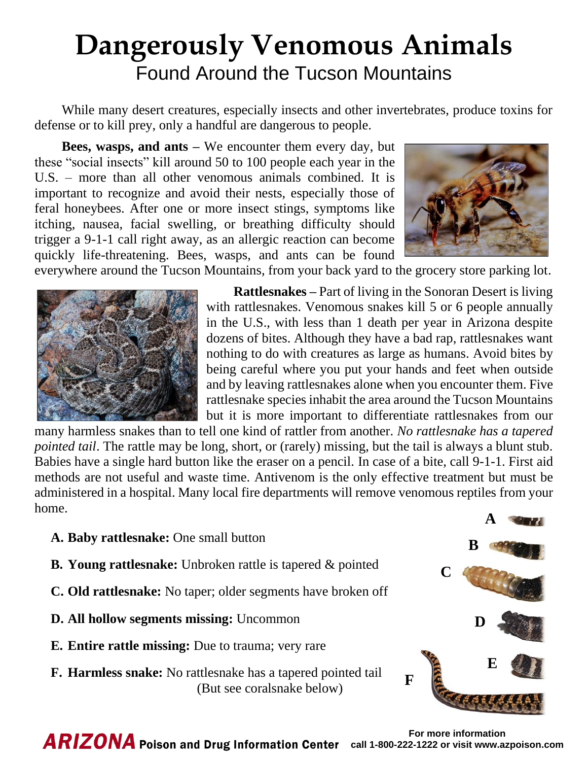## **Dangerously Venomous Animals** Found Around the Tucson Mountains

While many desert creatures, especially insects and other invertebrates, produce toxins for defense or to kill prey, only a handful are dangerous to people.

**Bees, wasps, and ants –** We encounter them every day, but these "social insects" kill around 50 to 100 people each year in the U.S. – more than all other venomous animals combined. It is important to recognize and avoid their nests, especially those of feral honeybees. After one or more insect stings, symptoms like itching, nausea, facial swelling, or breathing difficulty should trigger a 9-1-1 call right away, as an allergic reaction can become quickly life-threatening. Bees, wasps, and ants can be found



everywhere around the Tucson Mountains, from your back yard to the grocery store parking lot.



**Rattlesnakes –** Part of living in the Sonoran Desert is living with rattlesnakes. Venomous snakes kill 5 or 6 people annually in the U.S., with less than 1 death per year in Arizona despite dozens of bites. Although they have a bad rap, rattlesnakes want nothing to do with creatures as large as humans. Avoid bites by being careful where you put your hands and feet when outside and by leaving rattlesnakes alone when you encounter them. Five rattlesnake species inhabit the area around the Tucson Mountains but it is more important to differentiate rattlesnakes from our

many harmless snakes than to tell one kind of rattler from another. *No rattlesnake has a tapered pointed tail*. The rattle may be long, short, or (rarely) missing, but the tail is always a blunt stub. Babies have a single hard button like the eraser on a pencil. In case of a bite, call 9-1-1. First aid methods are not useful and waste time. Antivenom is the only effective treatment but must be administered in a hospital. Many local fire departments will remove venomous reptiles from your home.

**A. Baby rattlesnake:** One small button **B. Young rattlesnake:** Unbroken rattle is tapered & pointed **C. Old rattlesnake:** No taper; older segments have broken off **D. All hollow segments missing:** Uncommon **E. Entire rattle missing:** Due to trauma; very rare **F. Harmless snake:** No rattlesnake has a tapered pointed tail (But see coralsnake below) **A B C D E F**

**For more information ARIZONA** Poison and Drug Information Center call 1-800-222-1222 or visit www.azpoison.com